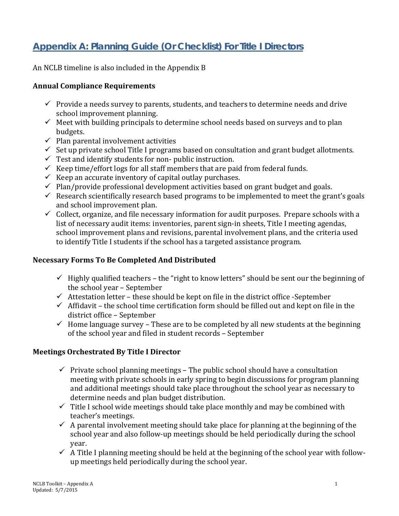# **Appendix A: Planning Guide (Or Checklist) For Title I Directors**

An NCLB timeline is also included in the Appendix B

#### **Annual Compliance Requirements**

- $\checkmark$  Provide a needs survey to parents, students, and teachers to determine needs and drive school improvement planning.
- $\checkmark$  Meet with building principals to determine school needs based on surveys and to plan budgets.
- $\checkmark$  Plan parental involvement activities
- $\checkmark$  Set up private school Title I programs based on consultation and grant budget allotments.
- $\checkmark$  Test and identify students for non- public instruction.
- $\checkmark$  Keep time/effort logs for all staff members that are paid from federal funds.
- $\checkmark$  Keep an accurate inventory of capital outlay purchases.
- $\checkmark$  Plan/provide professional development activities based on grant budget and goals.
- $\checkmark$  Research scientifically research based programs to be implemented to meet the grant's goals and school improvement plan.
- $\checkmark$  Collect, organize, and file necessary information for audit purposes. Prepare schools with a list of necessary audit items: inventories, parent sign-in sheets, Title I meeting agendas, school improvement plans and revisions, parental involvement plans, and the criteria used to identify Title I students if the school has a targeted assistance program.

### **Necessary Forms To Be Completed And Distributed**

- $\checkmark$  Highly qualified teachers the "right to know letters" should be sent our the beginning of the school year – September
- $\checkmark$  Attestation letter these should be kept on file in the district office -September
- $\checkmark$  Affidavit the school time certification form should be filled out and kept on file in the district office – September
- $\checkmark$  Home language survey These are to be completed by all new students at the beginning of the school year and filed in student records – September

## **Meetings Orchestrated By Title I Director**

- $\checkmark$  Private school planning meetings The public school should have a consultation meeting with private schools in early spring to begin discussions for program planning and additional meetings should take place throughout the school year as necessary to determine needs and plan budget distribution.
- $\checkmark$  Title I school wide meetings should take place monthly and may be combined with teacher's meetings.
- $\checkmark$  A parental involvement meeting should take place for planning at the beginning of the school year and also follow-up meetings should be held periodically during the school year.
- $\checkmark$  A Title I planning meeting should be held at the beginning of the school year with followup meetings held periodically during the school year.